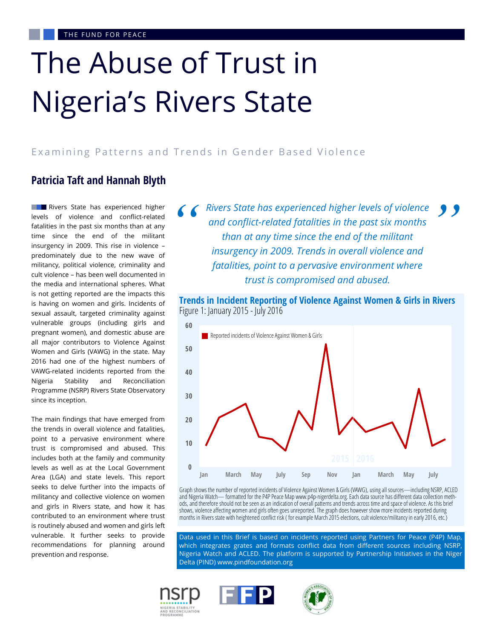# The Abuse of Trust in Nigeria's Rivers State

#### Examining Patterns and Trends in Gender Based Violence

## **Patricia Taft and Hannah Blyth**

**Rivers State has experienced higher** levels of violence and conflict-related fatalities in the past six months than at any time since the end of the militant insurgency in 2009. This rise in violence – predominately due to the new wave of militancy, political violence, criminality and cult violence – has been well documented in the media and international spheres. What is not getting reported are the impacts this is having on women and girls. Incidents of sexual assault, targeted criminality against vulnerable groups (including girls and pregnant women), and domestic abuse are all major contributors to Violence Against Women and Girls (VAWG) in the state. May 2016 had one of the highest numbers of VAWG-related incidents reported from the Nigeria Stability and Reconciliation Programme (NSRP) Rivers State Observatory since its inception.

The main findings that have emerged from the trends in overall violence and fatalities, point to a pervasive environment where trust is compromised and abused. This includes both at the family and community levels as well as at the Local Government Area (LGA) and state levels. This report seeks to delve further into the impacts of militancy and collective violence on women and girls in Rivers state, and how it has contributed to an environment where trust is routinely abused and women and girls left vulnerable. It further seeks to provide recommendations for planning around prevention and response.

**6 6** *Rivers State has experienced higher levels of violence* **9 9** *and conflict-related fatalities in the past six months than at any time since the end of the militant insurgency in 2009. Trends in overall violence and and conflict-related fatalities in the past six months than at any time since the end of the militant insurgency in 2009. Trends in overall violence and fatalities, point to a pervasive environment where trust is compromised and abused.*





Graph shows the number of reported incidents of Violence Against Women & Girls (VAWG), using all sources—including NSRP, ACLED and Nigeria Watch— formatted for the P4P Peace Map www.p4p-nigerdelta.org. Each data source has different data collection methods, and therefore should not be seen as an indication of overall patterns and trends across time and space of violence. As this brief shows, violence affecting women and girls often goes unreported. The graph does however show more incidents reported during months in Rivers state with heightened conflict risk ( for example March 2015 elections, cult violence/militancy in early 2016, etc.)

Data used in this Brief is based on incidents reported using Partners for Peace (P4P) Map, which integrates grates and formats conflict data from different sources including NSRP, Nigeria Watch and ACLED. The platform is supported by Partnership Initiatives in the Niger Delta (PIND) www.pindfoundation.org

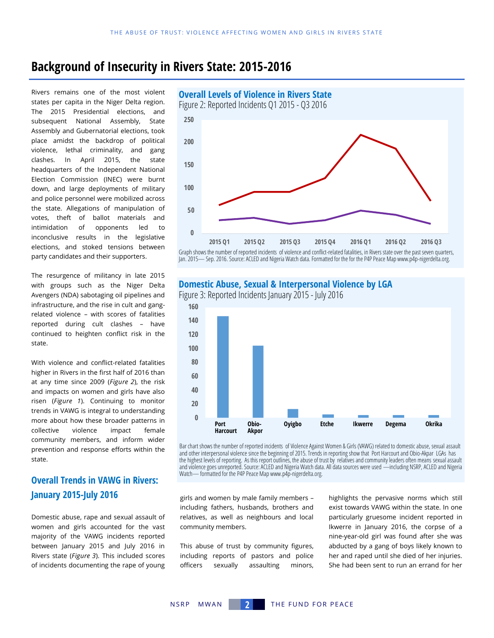# **Background of Insecurity in Rivers State: 2015-2016**

Rivers remains one of the most violent states per capita in the Niger Delta region. The 2015 Presidential elections, and subsequent National Assembly, State Assembly and Gubernatorial elections, took place amidst the backdrop of political violence, lethal criminality, and gang clashes. In April 2015, the state headquarters of the Independent National Election Commission (INEC) were burnt down, and large deployments of military and police personnel were mobilized across the state. Allegations of manipulation of votes, theft of ballot materials and intimidation of opponents led to inconclusive results in the legislative elections, and stoked tensions between party candidates and their supporters.

The resurgence of militancy in late 2015 with groups such as the Niger Delta Avengers (NDA) sabotaging oil pipelines and infrastructure, and the rise in cult and gangrelated violence – with scores of fatalities reported during cult clashes – have continued to heighten conflict risk in the state.

With violence and conflict-related fatalities higher in Rivers in the first half of 2016 than at any time since 2009 (*Figure 2*), the risk and impacts on women and girls have also risen (*Figure 1*). Continuing to monitor trends in VAWG is integral to understanding more about how these broader patterns in collective violence impact female community members, and inform wider prevention and response efforts within the state.

## **Overall Trends in VAWG in Rivers: January 2015-July 2016**

Domestic abuse, rape and sexual assault of women and girls accounted for the vast majority of the VAWG incidents reported between January 2015 and July 2016 in Rivers state (*Figure 3*). This included scores of incidents documenting the rape of young



Graph shows the number of reported incidents of violence and conflict-related fatalities, in Rivers state over the past seven quarters, Jan. 2015— Sep. 2016. Source: ACLED and Nigeria Watch data. Formatted for the for the P4P Peace Map www.p4p-nigerdelta.org.

#### **Domestic Abuse, Sexual & Interpersonal Violence by LGA**

Figure 3: Reported Incidents January 2015 - July 2016



Bar chart shows the number of reported incidents of Violence Against Women & Girls (VAWG) related to domestic abuse, sexual assault and other interpersonal violence since the beginning of 2015. Trends in reporting show that Port Harcourt and Obio-Akpar LGAs has the highest levels of reporting. As this report outlines, the abuse of trust by relatives and community leaders often means sexual assault and violence goes unreported. Source: ACLED and Nigeria Watch data. All data sources were used —including NSRP, ACLED and Nigeria Watch— formatted for the P4P Peace Map www.p4p-nigerdelta.org.

girls and women by male family members – including fathers, husbands, brothers and relatives, as well as neighbours and local community members.

This abuse of trust by community figures, including reports of pastors and police officers sexually assaulting minors,

highlights the pervasive norms which still exist towards VAWG within the state. In one particularly gruesome incident reported in Ikwerre in January 2016, the corpse of a nine-year-old girl was found after she was abducted by a gang of boys likely known to her and raped until she died of her injuries. She had been sent to run an errand for her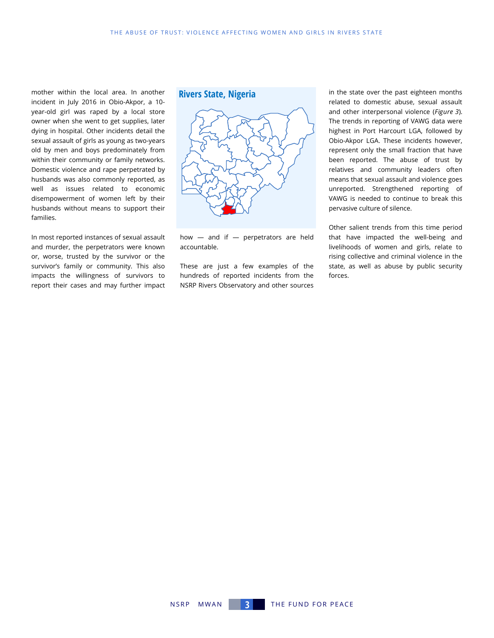mother within the local area. In another incident in July 2016 in Obio-Akpor, a 10 year-old girl was raped by a local store owner when she went to get supplies, later dying in hospital. Other incidents detail the sexual assault of girls as young as two-years old by men and boys predominately from within their community or family networks. Domestic violence and rape perpetrated by husbands was also commonly reported, as well as issues related to economic disempowerment of women left by their husbands without means to support their families.

In most reported instances of sexual assault and murder, the perpetrators were known or, worse, trusted by the survivor or the survivor's family or community. This also impacts the willingness of survivors to report their cases and may further impact

#### **Rivers State, Nigeria**



how — and if — perpetrators are held accountable.

These are just a few examples of the hundreds of reported incidents from the NSRP Rivers Observatory and other sources

in the state over the past eighteen months related to domestic abuse, sexual assault and other interpersonal violence (*Figure 3*). The trends in reporting of VAWG data were highest in Port Harcourt LGA, followed by Obio-Akpor LGA. These incidents however, represent only the small fraction that have been reported. The abuse of trust by relatives and community leaders often means that sexual assault and violence goes unreported. Strengthened reporting of VAWG is needed to continue to break this pervasive culture of silence.

Other salient trends from this time period that have impacted the well-being and livelihoods of women and girls, relate to rising collective and criminal violence in the state, as well as abuse by public security forces.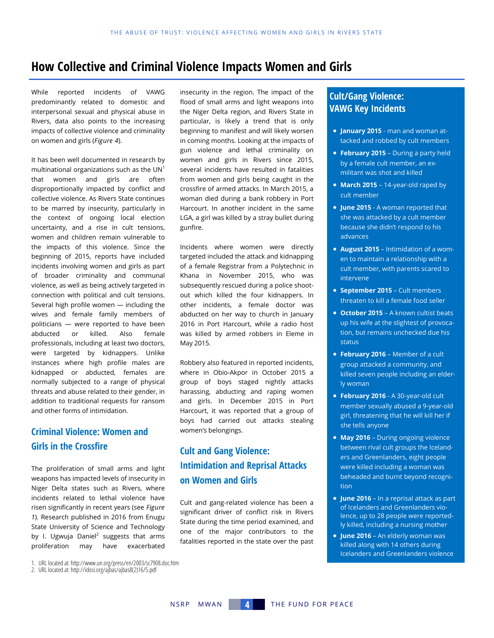# **How Collective and Criminal Violence Impacts Women and Girls**

While reported incidents of VAWG predominantly related to domestic and interpersonal sexual and physical abuse in Rivers, data also points to the increasing impacts of collective violence and criminality on women and girls (*Figure 4*).

It has been well documented in research by multinational organizations such as the  $UN<sup>1</sup>$ that women and girls are often disproportionally impacted by conflict and collective violence. As Rivers State continues to be marred by insecurity, particularly in the context of ongoing local election uncertainty, and a rise in cult tensions, women and children remain vulnerable to the impacts of this violence. Since the beginning of 2015, reports have included incidents involving women and girls as part of broader criminality and communal violence, as well as being actively targeted in connection with political and cult tensions. Several high profile women — including the wives and female family members of politicians — were reported to have been abducted or killed. Also female professionals, including at least two doctors, were targeted by kidnappers. Unlike instances where high profile males are kidnapped or abducted, females are normally subjected to a range of physical threats and abuse related to their gender, in addition to traditional requests for ransom and other forms of intimidation.

## **Criminal Violence: Women and Girls in the Crossfire**

The proliferation of small arms and light weapons has impacted levels of insecurity in Niger Delta states such as Rivers, where incidents related to lethal violence have risen significantly in recent years (see *Figure 1*). Research published in 2016 from Enugu State University of Science and Technology by I. Ugwuja Daniel $^2$  suggests that arms proliferation may have exacerbated

insecurity in the region. The impact of the flood of small arms and light weapons into the Niger Delta region, and Rivers State in particular, is likely a trend that is only beginning to manifest and will likely worsen in coming months. Looking at the impacts of gun violence and lethal criminality on women and girls in Rivers since 2015, several incidents have resulted in fatalities from women and girls being caught in the crossfire of armed attacks. In March 2015, a woman died during a bank robbery in Port Harcourt. In another incident in the same LGA, a girl was killed by a stray bullet during gunfire.

Incidents where women were directly targeted included the attack and kidnapping of a female Registrar from a Polytechnic in Khana in November 2015, who was subsequently rescued during a police shootout which killed the four kidnappers. In other incidents, a female doctor was abducted on her way to church in January 2016 in Port Harcourt, while a radio host was killed by armed robbers in Eleme in May 2015.

Robbery also featured in reported incidents, where in Obio-Akpor in October 2015 a group of boys staged nightly attacks harassing, abducting and raping women and girls. In December 2015 in Port Harcourt, it was reported that a group of boys had carried out attacks stealing women's belongings.

## **Cult and Gang Violence: Intimidation and Reprisal Attacks on Women and Girls**

Cult and gang-related violence has been a significant driver of conflict risk in Rivers State during the time period examined, and one of the major contributors to the fatalities reported in the state over the past

#### **Cult/Gang Violence: VAWG Key Incidents**

- **January 2015**  man and woman attacked and robbed by cult members
- **February 2015**  During a party held by a female cult member, an exmilitant was shot and killed
- **March 2015**  14-year-old raped by cult member
- **June 2015**  A woman reported that she was attacked by a cult member because she didn't respond to his advances
- **August 2015**  Intimidation of a women to maintain a relationship with a cult member, with parents scared to intervene
- **September 2015** Cult members threaten to kill a female food seller
- **October 2015**  A known cultist beats up his wife at the slightest of provocation, but remains unchecked due his status
- **February 2016**  Member of a cult group attacked a community, and killed seven people including an elderly woman
- **February 2016**  A 30-year-old cult member sexually abused a 9-year-old girl, threatening that he will kill her if she tells anyone
- **May 2016**  During ongoing violence between rival cult groups the Icelanders and Greenlanders, eight people were killed including a woman was beheaded and burnt beyond recognition
- **June 2016**  In a reprisal attack as part of Icelanders and Greenlanders violence, up to 28 people were reportedly killed, including a nursing mother
- **June 2016**  An elderly woman was killed along with 14 others during Icelanders and Greenlanders violence

<sup>1.</sup> URL located at: http://www.un.org/press/en/2003/sc7908.doc.htm

<sup>2.</sup> URL located at: http://idosi.org/ajbas/ajbas8(2)16/5.pdf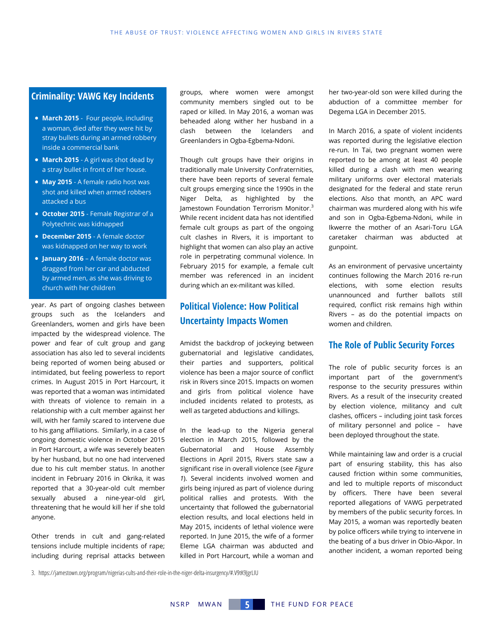#### **Criminality: VAWG Key Incidents**

- **March 2015** Four people, including a woman, died after they were hit by stray bullets during an armed robbery inside a commercial bank
- **March 2015**  A girl was shot dead by a stray bullet in front of her house.
- **May 2015**  A female radio host was shot and killed when armed robbers attacked a bus
- **October 2015**  Female Registrar of a Polytechnic was kidnapped
- **December 2015**  A female doctor was kidnapped on her way to work
- **January 2016**  A female doctor was dragged from her car and abducted by armed men, as she was driving to church with her children

year. As part of ongoing clashes between groups such as the Icelanders and Greenlanders, women and girls have been impacted by the widespread violence. The power and fear of cult group and gang association has also led to several incidents being reported of women being abused or intimidated, but feeling powerless to report crimes. In August 2015 in Port Harcourt, it was reported that a woman was intimidated with threats of violence to remain in a relationship with a cult member against her will, with her family scared to intervene due to his gang affiliations. Similarly, in a case of ongoing domestic violence in October 2015 in Port Harcourt, a wife was severely beaten by her husband, but no one had intervened due to his cult member status. In another incident in February 2016 in Okrika, it was reported that a 30-year-old cult member sexually abused a nine-year-old girl, threatening that he would kill her if she told anyone.

Other trends in cult and gang-related tensions include multiple incidents of rape; including during reprisal attacks between

groups, where women were amongst community members singled out to be raped or killed. In May 2016, a woman was beheaded along wither her husband in a clash between the Icelanders and Greenlanders in Ogba-Egbema-Ndoni.

Though cult groups have their origins in traditionally male University Confraternities, there have been reports of several female cult groups emerging since the 1990s in the Niger Delta, as highlighted by the Jamestown Foundation Terrorism Monitor.<sup>3</sup> While recent incident data has not identified female cult groups as part of the ongoing cult clashes in Rivers, it is important to highlight that women can also play an active role in perpetrating communal violence. In February 2015 for example, a female cult member was referenced in an incident during which an ex-militant was killed.

### **Political Violence: How Political Uncertainty Impacts Women**

Amidst the backdrop of jockeying between gubernatorial and legislative candidates, their parties and supporters, political violence has been a major source of conflict risk in Rivers since 2015. Impacts on women and girls from political violence have included incidents related to protests, as well as targeted abductions and killings.

In the lead-up to the Nigeria general election in March 2015, followed by the Gubernatorial and House Assembly Elections in April 2015, Rivers state saw a significant rise in overall violence (see *Figure 1*). Several incidents involved women and girls being injured as part of violence during political rallies and protests. With the uncertainty that followed the gubernatorial election results, and local elections held in May 2015, incidents of lethal violence were reported. In June 2015, the wife of a former Eleme LGA chairman was abducted and killed in Port Harcourt, while a woman and her two-year-old son were killed during the abduction of a committee member for Degema LGA in December 2015.

In March 2016, a spate of violent incidents was reported during the legislative election re-run. In Tai, two pregnant women were reported to be among at least 40 people killed during a clash with men wearing military uniforms over electoral materials designated for the federal and state rerun elections. Also that month, an APC ward chairman was murdered along with his wife and son in Ogba-Egbema-Ndoni, while in Ikwerre the mother of an Asari-Toru LGA caretaker chairman was abducted at gunpoint.

As an environment of pervasive uncertainty continues following the March 2016 re-run elections, with some election results unannounced and further ballots still required, conflict risk remains high within Rivers – as do the potential impacts on women and children.

#### **The Role of Public Security Forces**

The role of public security forces is an important part of the government's response to the security pressures within Rivers. As a result of the insecurity created by election violence, militancy and cult clashes, officers – including joint task forces of military personnel and police – have been deployed throughout the state.

While maintaining law and order is a crucial part of ensuring stability, this has also caused friction within some communities, and led to multiple reports of misconduct by officers. There have been several reported allegations of VAWG perpetrated by members of the public security forces. In May 2015, a woman was reportedly beaten by police officers while trying to intervene in the beating of a bus driver in Obio-Akpor. In another incident, a woman reported being

3. https://jamestown.org/program/nigerias-cults-and-their-role-in-the-niger-delta-insurgency/#.V9tK9JgrLIU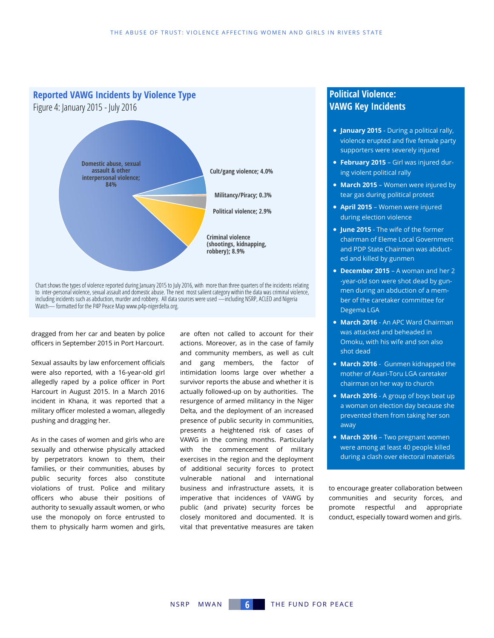

dragged from her car and beaten by police officers in September 2015 in Port Harcourt.

Sexual assaults by law enforcement officials were also reported, with a 16-year-old girl allegedly raped by a police officer in Port Harcourt in August 2015. In a March 2016 incident in Khana, it was reported that a military officer molested a woman, allegedly pushing and dragging her.

As in the cases of women and girls who are sexually and otherwise physically attacked by perpetrators known to them, their families, or their communities, abuses by public security forces also constitute violations of trust. Police and military officers who abuse their positions of authority to sexually assault women, or who use the monopoly on force entrusted to them to physically harm women and girls, are often not called to account for their actions. Moreover, as in the case of family and community members, as well as cult and gang members, the factor of intimidation looms large over whether a survivor reports the abuse and whether it is actually followed-up on by authorities. The resurgence of armed militancy in the Niger Delta, and the deployment of an increased presence of public security in communities, presents a heightened risk of cases of VAWG in the coming months. Particularly with the commencement of military exercises in the region and the deployment of additional security forces to protect vulnerable national and international business and infrastructure assets, it is imperative that incidences of VAWG by public (and private) security forces be closely monitored and documented. It is vital that preventative measures are taken

#### **Political Violence: VAWG Key Incidents**

- **January 2015**  During a political rally, violence erupted and five female party supporters were severely injured
- **February 2015**  Girl was injured during violent political rally
- **March 2015** Women were injured by tear gas during political protest
- **April 2015**  Women were injured during election violence
- **June 2015**  The wife of the former chairman of Eleme Local Government and PDP State Chairman was abducted and killed by gunmen
- **December 2015**  A woman and her 2 -year-old son were shot dead by gunmen during an abduction of a member of the caretaker committee for Degema LGA
- **March 2016**  An APC Ward Chairman was attacked and beheaded in Omoku, with his wife and son also shot dead
- **March 2016**  Gunmen kidnapped the mother of Asari-Toru LGA caretaker chairman on her way to church
- **March 2016**  A group of boys beat up a woman on election day because she prevented them from taking her son away
- **March 2016**  Two pregnant women were among at least 40 people killed during a clash over electoral materials

to encourage greater collaboration between communities and security forces, and promote respectful and appropriate conduct, especially toward women and girls.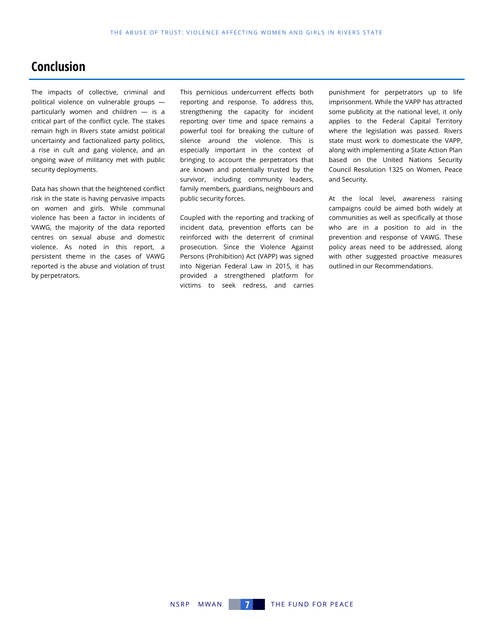# **Conclusion**

The impacts of collective, criminal and political violence on vulnerable groups particularly women and children — is a critical part of the conflict cycle. The stakes remain high in Rivers state amidst political uncertainty and factionalized party politics, a rise in cult and gang violence, and an ongoing wave of militancy met with public security deployments.

Data has shown that the heightened conflict risk in the state is having pervasive impacts on women and girls. While communal violence has been a factor in incidents of VAWG, the majority of the data reported centres on sexual abuse and domestic violence. As noted in this report, a persistent theme in the cases of VAWG reported is the abuse and violation of trust by perpetrators.

This pernicious undercurrent effects both reporting and response. To address this, strengthening the capacity for incident reporting over time and space remains a powerful tool for breaking the culture of silence around the violence. This is especially important in the context of bringing to account the perpetrators that are known and potentially trusted by the survivor, including community leaders, family members, guardians, neighbours and public security forces.

Coupled with the reporting and tracking of incident data, prevention efforts can be reinforced with the deterrent of criminal prosecution. Since the Violence Against Persons (Prohibition) Act (VAPP) was signed into Nigerian Federal Law in 2015, it has provided a strengthened platform for victims to seek redress, and carries

punishment for perpetrators up to life imprisonment. While the VAPP has attracted some publicity at the national level, it only applies to the Federal Capital Territory where the legislation was passed. Rivers state must work to domesticate the VAPP, along with implementing a State Action Plan based on the United Nations Security Council Resolution 1325 on Women, Peace and Security.

At the local level, awareness raising campaigns could be aimed both widely at communities as well as specifically at those who are in a position to aid in the prevention and response of VAWG. These policy areas need to be addressed, along with other suggested proactive measures outlined in our Recommendations.